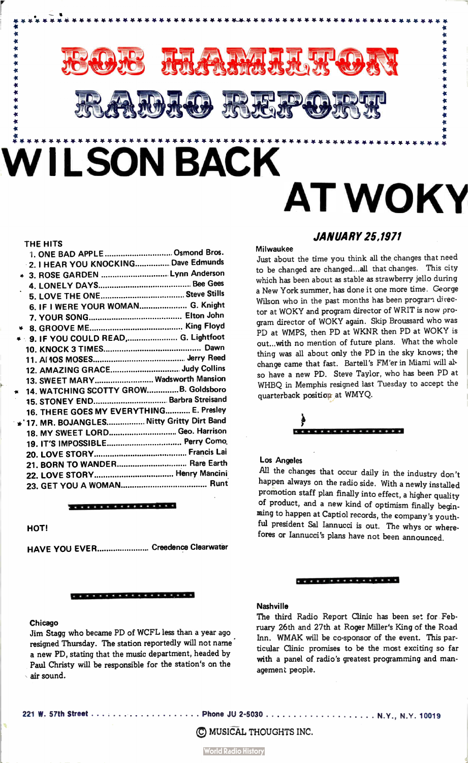

## THE HITS

| 1. ONE BAD APPLE  Osmond Bros.             |  |
|--------------------------------------------|--|
| 2. I HEAR YOU KNOCKING Dave Edmunds        |  |
| ◆ 3. ROSE GARDEN  Lynn Anderson            |  |
|                                            |  |
|                                            |  |
| 6. IF I WERE YOUR WOMAN G. Knight          |  |
|                                            |  |
|                                            |  |
| ◆ 9. IF YOU COULD READ, G. Lightfoot       |  |
|                                            |  |
|                                            |  |
| 12. AMAZING GRACE Judy Collins             |  |
| 13. SWEET MARY Wadsworth Mansion           |  |
| 14. WATCHING SCOTTY GROWB. Goldsboro       |  |
| 15. STONEY END Barbra Streisand            |  |
| 16. THERE GOES MY EVERYTHING E. Presley    |  |
| * 17. MR. BOJANGLES Nitty Gritty Dirt Band |  |
| 18. MY SWEET LORD Geo. Harrison            |  |
| 19. IT'S IMPOSSIBLE Perry Como             |  |
|                                            |  |
| 21. BORN TO WANDER Rare Earth              |  |
| 22. LOVE STORY Henry Mancini               |  |
|                                            |  |
|                                            |  |

\* \* \* \* \* \* \* \* \* \* \* \* \* \* \* \*

## HOT!

HAVE YOU EVER......................... Creedence Clearwater

### \* \* \* \* \* \* \* \* \* \* \* \* \* \* \* \* \* \* \*

## Chicago

Jim Stagg who became PD of WCFL less than a year ago resigned Thursday. The station reportedly will not name a new PD, stating that the music department, headed by Paul Christy will be responsible for the station's on the air sound.

## JANUARY 25,1971

### Milwaukee

Just about the time you think all the changes that need to be changed are changed.. all that changes. This city which has been about as stable as strawberry jello during a New York summer, has done it one more time. George Wilson who in the past months has been program director at WOKY and program director of WRIT is now program director of WOKY again. Skip Broussard who was PD at WMPS, then PD at WKNR then PD at WOKY is out.. with no mention of future plans. What the whole thing was all about only the PD in the sky knows; the change came that fast. Bartell's FM'er in Miami will ai. so have a new PD. Steve Taylor, who has been PD at WHBQ in Memphis resigned last Tuesday to accept the quarterback position at WMYQ.



## Los Angeles

All the changes that occur daily in the industry don't happen always on the radio side. With a newly installed promotion staff plan finally into effect, a higher quality of product, and a new kind of optimism finally beginning to happen at Captiol records, the company's youthful president Sal Iannucci is out. The whys or wherefores or Iannucci's plans have not been announced.

## \* \* \* \* \* \* \* \* \* \* \* \* \* \* \* \*

## **Nashville**

The third Radio Report Clinic has been set for February 26th and 27th at Roger Miller's King of the Road Inn. WMAK will be co-sponsor of the event. This particular Clinic promises to be the most exciting so far with a panel of radio's greatest programming and management people.

221 W. 57th Street Phone JU 2-5030

 $\cdots$   $\cdots$  N.Y., N.Y. 10019

© MUSICAL THOUGHTS INC .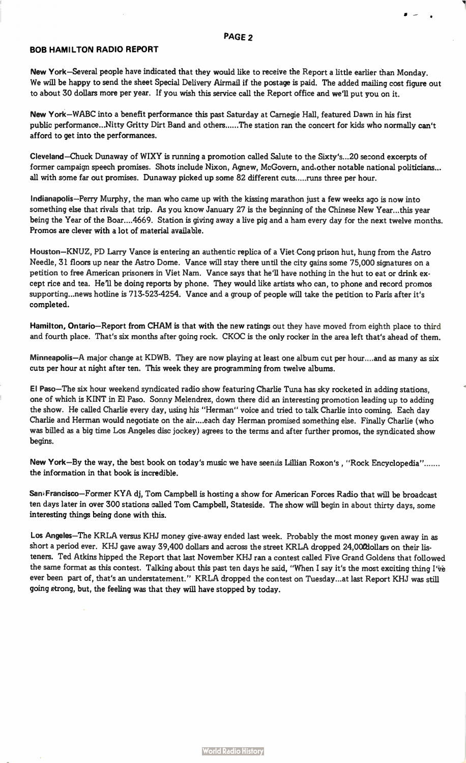## PAGE 2

 $\bullet$ 

## BOB HAMILTON RADIO REPORT

New York—Several people have indicated that they would like to receive the Report a little earlier than Monday. We will be happy to send the sheet Special Delivery Airmail if the postage is paid. The added mailing cost figure out to about 30 dollars more per year. If you wish this service call the Report office and we'll put you on it.

New York—WABC into a benefit performance this past Saturday at Carnegie Hall, featured Dawn in his first public performance...Nitty Gritty Dirt Band and others......The station ran the concert for kids who normally can't afford to get into the performances.

Cleveland—Chuck Dunaway of WIXY is running a promotion called Salute to the Sixty's...20 second excerpts of former campaign speech promises. Shots include Nixon, Agnew, McGovern, and,other notable national politicians... all with some far out promises. Dunaway picked up some 82 different cuts.....runs three per hour.

Indianapolis—Perry Murphy, the man who came up with the kissing marathon just a few weeks ago is now into something else that rivals that trip. As you know January 27 is the beginning of the Chinese New Year...this year being the Year of the Boar.... 4669. Station is giving away a live pig and a ham every day for the next twelve months. Promos are clever with a lot of material available.

Houston—KNUZ, PD Larry Vance is entering an authentic replica of a Viet Cong prison hut, hung from the Astro Needle, 31 floors up near the Astro Dome. Vance will stay there until the city gains some 75,000 signatures on a petition to free American prisoners in Viet Nam. Vance says that he'll have nothing in the hut to eat or drink except rice and tea. He'll be doing reports by phone. They would like artists who can, to phone and record promos supporting...news hotline is 713-523-4254. Vance and a group of people will take the petition to Paris after it's completed.

Hamilton, Ontario—Report from CHAM is that with the new ratings out they have moved from eighth place to third and fourth place. That's six months after going rock. CKOC is the only rocker in the area left that's ahead of them.

Minneapolis—A major change at KDWB. They are now playing at least one album cut per hour.. ..and as many as six cuts per hour at night after ten. This week they are programming from twelve albums.

El Paso—The six hour weekend syndicated radio show featuring Charlie Tuna has sky rocketed in adding stations, one of which is KINT in El Paso. Sonny Melendrez, down there did an interesting promotion leading up to adding the show. He called Charlie every day, using his "Herman" voice and tried to talk Charlie into coming. Each day Charlie and Herman would negotiate on the air... each day Herman promised something else. Finally Charlie (who was billed as a big time Los Angeles disc jockey) agrees to the terms and after further promos, the syndicated show begins.

New York—By the way, the best book on today's music we have seeniis Lillian Roxon's , "Rock Encyclopedia" the information in that book is incredible.

San<sup>,</sup>Francisco–Former KYA dj, Tom Campbell is hosting a show for American Forces Radio that will be broadcast ten days later in over 300 stations called Tom Campbell, Stateside. The show will begin in about thirty days, some interesting things being done with this.

Los Angeles—The KRLA versus KHJ money give-away ended last week. Probably the most money given away in as short a period ever. KHJ gave away 39,400 dollars and across the street KRLA dropped 24,000dollars on their listeners. Ted Atkins hipped the Report that last November KHJ ran a contest called Five Grand Goldens that followed the same format as this contest. Talking about this past ten days he said, "When I say it's the most exciting thing I've ever been part of, that's an understatement." KRLA dropped the contest on Tuesday...at last Report KHJ was still going etrong, but, the feeling was that they will have stopped by today.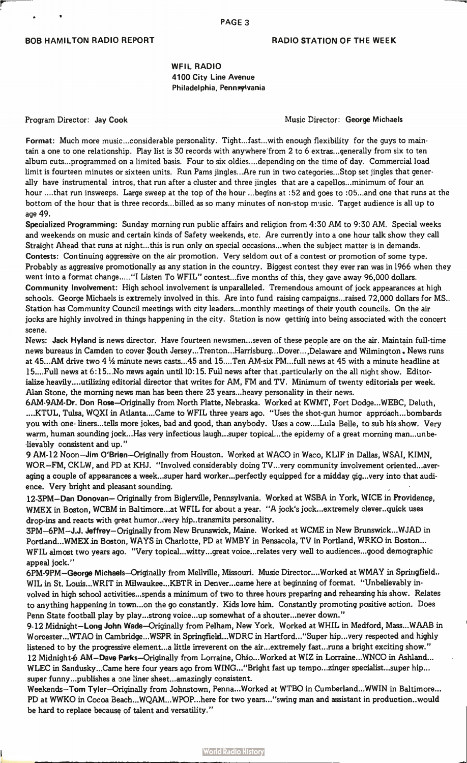WFIL RADIO 4100 City Line Avenue Philadelphia, Pennsylvania

Program Director: Jay Cook **Music Director: George Michaels** Music Director: George Michaels

Format: Much more music...considerable personality. Tight...fast...with enough flexibility for the guys to maintain a one to one relationship. Play list is 30 records with anywhere from 2 to 6 extras., generally from six to ten album cuts.. programmed on a limited basis. Four to six oldies... .depending on the time of day. Commercial load limit is fourteen minutes or sixteen units. Run Pams jingles...Are run in two categories...Stop set jingles that generally have instrumental intros, that run after a cluster and three jingles that are a capellos...minimum of four an hour ....that run insweeps. Large sweep at the top of the hour ...begins at :52 and goes to :05...and one that runs at the bottom of the hour that is three records...billed as so many minutes of non-stop music. Target audience is all up to age 49.

Specialized Programming: Sunday morning run public affairs and religion from 4:30 AM to 9:30 AM. Special weeks and weekends on music and certain kinds of Safety weekends, etc. Are currently into a one hour talk show they call Straight Ahead that runs at night...this is run only on special occasions...when the subject matter is in demands. Contests: Continuing aggressive on the air promotion. Very seldom out of a contest or promotion of some type. Probably as aggressive promotionally as any station in the country. Biggest contest they ever ran was in 1966 when they went into a format change....."I Listen To WFIL" contest...five months of this, they gave away 96,000 dollars. Community Involvement: High school involvement is unparalleled. Tremendous amount of jock appearances at high schools. George Michaels is extremely involved in this. Are into fund raising campaigns...raised 72,000 dollars for MS.. Station has Community Council meetings with city leaders.., monthly meetings of their youth councils. On the air jocks are highly involved in things happening in the city. Station is now getting into being associated with the concert scene.

News: Jack Hyland is news director. Have fourteen newsmen...seven of these people are on the air. Maintain full-time news bureaus in Camden to cover South Jersey...Trenton...Harrisburg...Dover...,Delaware and Wilmington. News runs at 45...AM drive two 4  $\frac{1}{2}$  minute news casts...45 and 15....Ten AM-six PM...full news at 45 with a minute headline at 15....Full news at 6:15...No news again until 10:15. Full news after that .particularly on the all night show. Editorialize heavily....utilizing editorial director that writes for AM, FM and TV. Minimum of twenty editorials per week. Alan Stone, the morning news man has been there 23 years...heavy personality in their news.

6AM-9AM-Dr. Don Rose—Originally from North Platte, Nebraska. Worked at KWMT, Fort Dodge...WEBC, Deluth, ....KTUL, Tulsa, WQXI in Atlanta. ...Came to WFIL three years ago. "Uses the shot-gun humor approach.. bombards you with one- liners...tells more jokes, bad and good, than anybody. Uses a cow....Lula Belle, to sub his show. Very warm, human sounding jock...Has very infectious laugh...super topical... the epidemy of a great morning man...unbelievably consistent and up."

9 AM-12 Noon—Jim O'Brien—Originally from Houston. Worked at WACO in Waco, KLIF in Dallas, WSAI, KIMN, WOR—FM, CKLW, and PD at KHJ. "Involved considerably doing TV.. very community involvement oriented...averaging a couple of appearances a week...super hard worker...perfectly equipped for a midday gig...very into that audience. Very bright and pleasant sounding.

12-3PM—Dan Donovan— Originally from Biglerville, Pennsylvania. Worked at WSBA in York, WICE in Providence, WMEX in Boston, WCBM in Baltimore...at WFIL for about a year. "A jock's jock...extremely clever..quick uses drop-ins and reacts with great humor...very hip..transmits personality.

3PM-6PM—J.J. Jeffrey—Originally from New Brunswick, Maine. Worked at WCME in New Brunswick...WJAD in Portland...WMEX in Boston, WAYS in Charlotte, PD at WMBY in Pensacola, TV in Portland, WRKO in Boston... WFIL almost two years ago. "Very topical...witty...great voice...relates very well to audiences...good demographic appeal jock."

6PM-9PM—George Michaels—Originally from Mellville, Missouri. Music Director.. ..Worked at WMAY in Springfield.. WIL in St. Louis...WRIT in Milwaukee...KBTR in Denver...came here at beginning of format. "Unbelievably involved in high school activities...spends a minimum of two to three hours preparing and rehearsing his show. Relates to anything happening in town...on the go constantly. Kids love him. Constantly promoting positive action. Does Penn State football play by play...strong voice...up somewhat of a shouter...never down."

9-12 Midnight—Long John Wade—Originally from Pelham, New York. Worked at WHIL in Medford, Mass...WAAB in Worcester...WTAO in Cambridge...WSPR in Springfield...WDRC in Hartford..."Super hip...very respected and highly listened to by the progressive element...a little irreverent on the air...extremely fast...runs a bright exciting show." 12 Midnight-6 AM—Dave Parks—Originally from Lorraine, Ohio...Worked at WIZ in Lorraine...WNCO in Ashland... WLEC in Sandusky...Came here four years ago from WING..."Bright fast up tempo...zinger specialist...super hip... super funny...publishes a one liner sheet...amazingly consistent.

Weekends—Tom Tyler—Originally from Johnstown, Penna...Worked at WTBO in Cumberland...WWIN in Baltimore... PD at WWKO in Cocoa Beach...WQAM...WPOP...here for two years... "swing man and assistant in production. .would be hard to replace because of talent and versatility."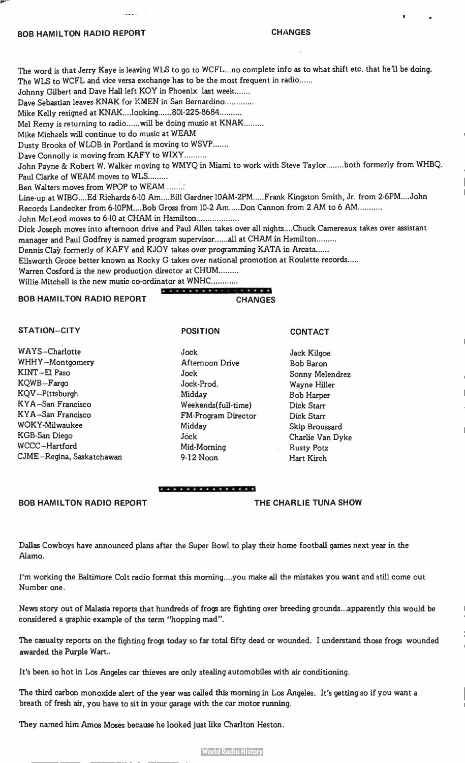## BOB HAMILTON RADIO REPORT **CHANGES**

e

The word is that Jerry Kaye is leaving WLS to go to WCFL...no complete info as to what shift etc. that he'll be doing. The WLS to WCFL and vice versa exchange has to be the most frequent in radio......

Johnny Gilbert and Dave Hall left KOY in Phoenix last week.......

Dave Sebastian leaves KNAK for KMEN in San Bernardino

Mike Kelly resigned at KNAK....looking......801-225-8684..........

Mel Remy is returning to radio......will be doing music at KNAK.........

Mike Michaels will continue to do music at WEAM

Dusty Brooks of WLOB in Portland is moving to WSVP

Dave Connolly is moving from KAFY to WIXY

John Payne & Robert W. Walker moving to WMYQ in Miami to work with Steve Taylor........both formerly from WHBQ. Paul Clarke of WEAM moves to WLS

Ben Walters moves from WPOP to WEAM ........

Line-up at WIBG....Ed Richards 6-10 Am....Bill Gardner 10AM-2PM.....Frank Kingston Smith, Jr. from 2-6PM....John Records Landecker from 6-10PM....Bob Gross from 10-2 Am.....Don Cannon from 2 AM to 6 AM...........

John McLeod moves to 6-10 at CHAM in Hamilton

Dick Joseph moves into afternoon drive and Paul Allen takes over all nights... .Chuck Camereaux takes over assistant manager and Paul Godfrey is named program supervisor......all at CHAM in Hamilton.........

Dennis Clay formerly of KAFY and KJOY takes over programming KATA in Arcata......

Ellsworth Groce better known as Rocky G takes over national promotion at Roulette records

POSITION

Warren Cosford is the new production director at CHUM

Willie Mitchell is the new music co-ordinator at WNHC

**A 4 4 4 4 4 4 4 4 4 5 6 7 8 4 5 6** BOB HAMILTON RADIO REPORT CHANGES

## STATION—CITY

WAYS—Charlotte WHHY—Montgomery KINT—El Paso KQWB—Fargo KQV—Pittsburgh KYA—San Francisco KYA—San Francisco WOKY-Milwaukee KGB-San Diego WCCC —Hartford CJME—Regina, Saskatchawan

Jock Afternoon Drive Jock Jock-Prod. Midday Weekends(full-time) FM-Program Director Midday Jóck Mid-Morning 9-12 Noon

Jack Kilgoe Bob Baron Sonny Melendrez Wayne Hiller Bob Harper Dick Starr Dick Starr Skip Broussard Charlie Van Dyke Rusty Potz Hart Kirch

CONTACT

### **exected exected**

## BOB HAMILTON RADIO REPORT THE CHARLIE TUNA SHOW

Dallas Cowboys have announced plans after the Super Bowl to play their home football games next year in the Alamo.

I'm working the Baltimore Colt radio format this morning... .you make all the mistakes you want and still come out Number one.

News story out of Malasia reports that hundreds of frogs are fighting over breeding grounds...apparently this would be considered a graphic example of the term "hopping mad".

The casualty reports on the fighting frogs today so far total fifty dead or wounded. I understand those frogs wounded awarded the Purple Wart.

It's been so hot in Los Angeles car thieves are only stealing automobiles with air conditioning.

The third carbon monoxide alert of the year was called this morning in Los Angeles. It's getting so if you want a breath of fresh air, you have to sit in your garage with the car motor running.

They named him Amos Moses because he looked just like Charlton Heston.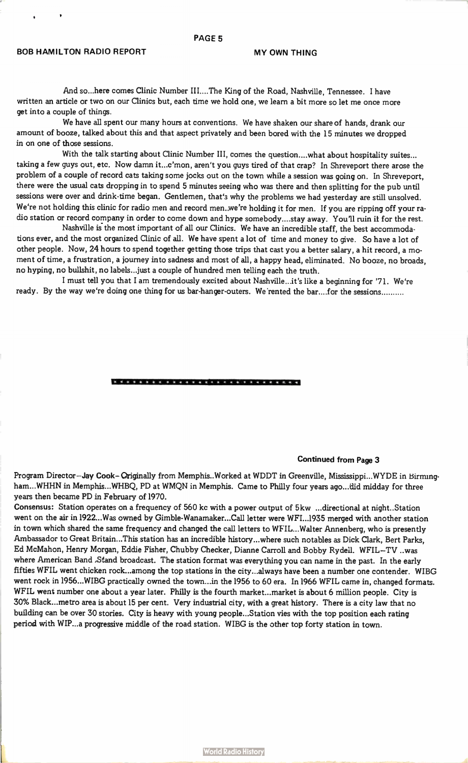## PAGE 5

## BOB HAMILTON RADIO REPORT MY OWN THING

And so...here comes Clinic Number III....The King of the Road, Nashville, Tennessee. I have written an article or two on our Clinics but, each time we hold one, we learn a bit more so let me once more get into a couple of things.

We have all spent our many hours at conventions. We have shaken our share of hands, drank our amount of booze, talked about this and that aspect privately and been bored with the 15 minutes we dropped in on one of those sessions.

With the talk starting about Clinic Number III, comes the question....what about hospitality suites... taking a few guys out, etc. Now damn it...c'mon, aren't you guys tired of that crap? In Shreveport there arose the problem of a couple of record cats taking some jocks out on the town while a session was going on. In Shreveport, there were the usual cats dropping in to spend 5 minutes seeing who was there and then splitting for the pub until sessions were over and drink-time began. Gentlemen, that's why the problems we had yesterday are still unsolved. We're not holding this clinic for radio men and record men..we're holding it for men. If you are ripping off your radio station or record company in order to come down and hype somebody.. ..stay away. You'll ruin it for the rest.

Nashville is the most important of all our Clinics. We have an incredible staff, the best accommodations ever, and the most organized Clinic of all. We have spent a lot of time and money to give. So have a lot of other people. Now, 24 hours to spend together getting those trips that cast you a better salary, a hit record, a moment of time, a frustration, a journey into sadness and most of all, a happy head, eliminated. No booze, no broads, no hyping, no bullshit, no labels...just a couple of hundred men telling each the truth.

I must tell you that I am tremendously excited about Nashville...it's like a beginning for '71. We're ready. By the way we're doing one thing for us bar-hanger-outers. We rented the bar....for the sessions.........

\* \*\* \* \* 4 4 \*\*\*\*\*\* 4 \*\*\*\*\* 4 4 4 4 « 4 4

## Continued from Page 3

Program Director-Jay Cook- Originally from Memphis..Worked at WDDT in Greenville, Mississippi...WYDE in Birmingham...WHHN in Memphis...WHBQ, PD at WMQN in Memphis. Came to PhiIly four years ago...did midday for three years then became PD in February of 1970.

Consensus: Station operates on a frequency of 560 kc with a power output of 5kw ...directional at night..Station went on the air in1922...Was owned by Gimble-Wanamaker...Call letter were WFI...1935 merged with another station in town which shared the same frequency and changed the call letters to WF IL.. Walter Annenberg, who is presently Ambassador to Great Britain...This station has an incredible history...where such notables as Dick Clark, Bert Parks, Ed McMahon, Henry Morgan, Eddie Fisher, Chubby Checker, Dianne Carroll and Bobby Rydeil. WFIL-TV ..was where American Band ,Stand broadcast. The station format was everything you can name in the past. In the early fifties WFIL went chicken rock...among the top stations in the city...always have been a number one contender. WIBG went rock in 1956...WIBG practically owned the town...in the 1956 to 60 era. In 1966 WFIL came in, changed formats. WFIL went number one about a year later. Philly is the fourth market...market is about 6 million people. City is 30% Black...metro area is about 15 per cent. Very industrial city, with a great history. There is a city law that no building can be over 30 stories. City is heavy with young people...Station vies with the top position each rating period with WIP...a progressive middle of the road station. WIBG is the other top forty station in town.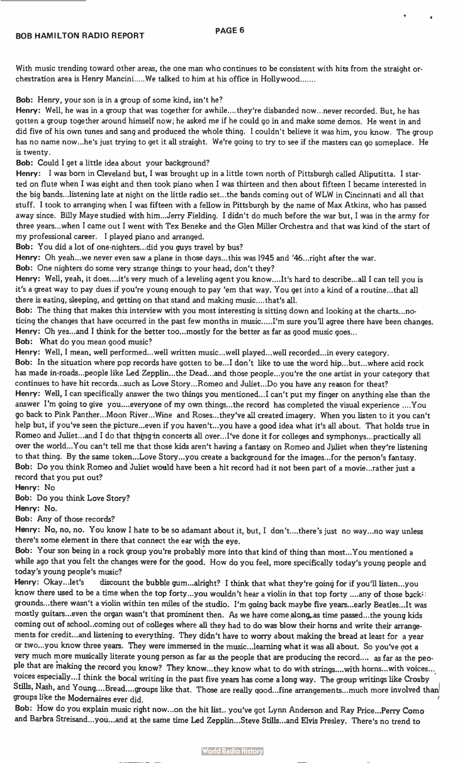With music trending toward other areas, the one man who continues to be consistent with hits from the straight orchestration area is Henry Mancini.....We talked to him at his office in Hollywood.......

Bob: Henry, your son is in a group of some kind, isn't he?

Henry: Well, he was in a group that was together for awhile....they're disbanded now...never recorded. But, he has gotten a group together around himself now; he asked me if he could go in and make some demos. He went in and did five of his own tunes and sang and produced the whole thing. I couldn't believe it was him, you know. The group has no name now...he's just trying to get it all straight. We're going to try to see if the masters can go someplace. He is twenty.

Bob: Could I get a little idea about your background?

Henry: I was born in Cleveland but, I was brought up in a little town north of Pittsburgh called Aliputitta. I started on flute when I was eight and then took piano when I was thirteen and then about fifteen I became interested in the big bands.. listening late at night on the little radio set...the bands coming out of WLW in Cincinnati and all that stuff. I took to arranging when I was fifteen with a fellow in Pittsburgh by the name of Max Atkins, who has passed away since. Billy Maye studied with him...Jerry Fielding. I didn't do much before the war but, I was in the army for three years...when I came out I went with Tex Beneke and the Glen Miller Orchestra and that was kind of the start of my professional career. I played piano and arranged.

Bob: You did a lot of one-nighters...did you guys travel by bus?

Henry: Oh yeah...we never even saw a plane in those days...this was 1945 and '46...right after the war.

Bob: One nighters do some very strange things to your head, don't they?

Henry: Well, yeah, it does....it's very much of a leveling agent you know....It's hard to describe...all I can tell you is it's a great way to pay dues if you're young enough to pay 'ern that way. You get into a kind of a routine.. that all there is eating, sleeping, and getting on that stand and making music... that's all.

Bob: The thing that makes this interview with you most interesting is sitting down and looking at the charts...noticing the changes that have occurred in the past few months in music.....I'm sure you'll agree there have been changes. Henry: Oh yes...and I think for the better too...mostly for the better as far as good music goes... Bob: What do you mean good music?

Henry: Well, I mean, well performed...well written music...well played...well recorded...in every category. Bob: In the situation where pop records have gotten to be...I don't like to use the word hip...but...where acid rock has made in-roads.. people like Led Zepplin...the Dead...and those people...you're the one artist in your category that continues to have hit records...such as Love Story... Romeo and Juliet...Do you have any reason for theat? Henry: Well, I can specifically answer the two things you mentioned...I can't put my finger on anything else than the answer I'm going to give you....everyone of my own things...the record has completed the visual experience ....You go back to Pink Panther...Moon River...Wine and Roses...they've all created imagery. When you listen to it you can't help but, if you've seen the picture...even if you haven't...you have a good idea what it's all about. That holds true in Romeo and Juliet...and I do that thing in concerts all over...I've done it for colleges and symphonys...practically all over the world...You can't tell me that those kids aren't having a fantasy on Romeo and Juliet when they're listening to that thing. By the same token...Love Story...you create a background for the images...for the person's fantasy. Bob: Do you think Romeo and Juliet would have been a hit record had it not been part of a movie...rather just a record that you put out?

Henry: No

Bob: Do you think Love Story?

Henry: No.

Bob: Any of those records?

Henry: No, no, no. You know I hate to be so adamant about it, but, I don't....there's just no way...no way unless there's some element in there that connect the ear with the eye.

Bob: Your son being in a rock group you're probably more into that kind of thing than most...You mentioned a while ago that you felt the changes were for the good. How do you feel, more specifically today's young people and today's young people's music?

Henry: Okay...let's discount the bubble gum...alright? I think that what they're going for if you'll listen...you know there used to be a time when the top forty...you wouldn't hear a violin in that top forty ....any of those back<sup>1:</sup> grounds...there wasn't a violin within ten miles of the studio. I'm going back maybe five years...early Beatles...It was mostly guitars...even the organ wasn't that prominent then. As we have come along,.as time passed.. the young kids coming out of school. .coming out of colleges where all they had to do was blow their horns and write their arrangements for credit...and listening to everything. They didn't have to worry about making the bread at least for a year or two...you know three years. They were immersed in the music...learning what it was all about. So you've got a very much more musically literate young person as far as the people that are producing the record.... as far as the people that are making the record you know? They know...they know what to do with strings....with horns...with voices... voices especially...I think the bocal writing in the past five years has come a long way. The group writings like Crosby Stills, Nash, and Young....Bread....groups like that. Those are really good...fine arrangements...much more involved than groups like the Modernaires ever did.

Bob: How do you explain music right now...on the hit list., you've got Lynn Anderson and Ray Price...Perry Como and Barbra Streisand...you...and at the same time Led Zepplin...Steve Stills.. and Elvis Presley. There's no trend to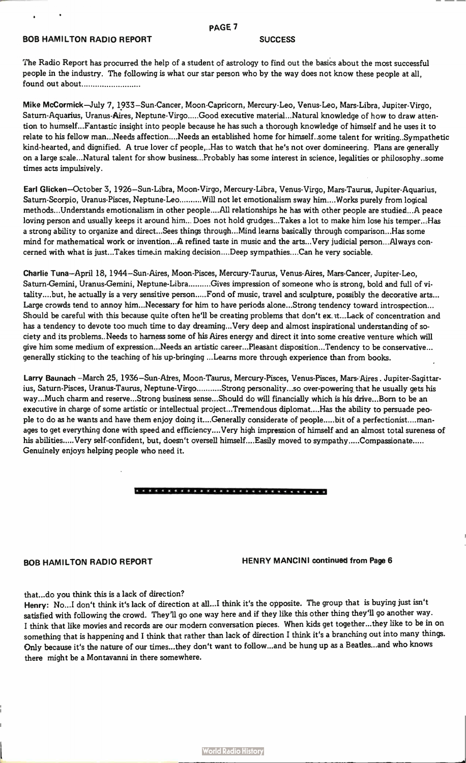## **BOB HAMILTON RADIO REPORT SUCCESS**

## PAGE 7

The Radio Report has procurred the help of a student of astrology to find out the basics about the most successful people in the industry. The following is what our star person who by the way does not know these people at all, found out about

Mike McCormick—July 7, 1933—Sun-Cancer, Moon-Capricorn, Mercury-Leo, Venus-Leo, Mars-Libra, Jupiter-Virgo, Saturn-Aquarius, Uranus-Aires, Neptune-Virgo.....Good executive material...Natural knowledge of how to draw attention to humself...Fantastic insight into people because he has such a thorough knowledge of himself and he uses it to relate to his fellow man...Needs affection... Needs an established home for himself. some talent for writing. Sympathetic kind-hearted, and dignified. A true lover cf people,. .Has to watch that he's not over domineering. Plans are generally on a large scale...Natural talent for show business...Probably has some interest in science, legalities or philosophy. some times acts impulsively.

Earl Glicken—October 3, 1926—Sun-Libra, Moon-Virgo, Mercury-Libra, Venus-Virgo, Mars-Taurus, Jupiter-Aquarius, Saturn-Scorpio, Uranus-Pisces, Neptune-Leo .........Will not let emotionalism sway him....Works purely from logical methods.. Understands emotionalism in other people... .All relationships he has with other people are studied...A peace loving person and usually keeps it around him... Does not hold grudges...Takes a lot to make him lose his temper...Has a strong ability to organize and direct...Sees things through...Mind learns basically through comparison...Has some mind for mathematical work or invention...A refined taste in music and the arts...Very judicial person.. Always concerned with what is just...Takes time.in making decision....Deep sympathies....Can he very sociable.

Charlie Tuna—April 18, 1944—Sun-Aires, Moon-Pisces, Mercury-Taurus, Venus-Aires, Mars-Cancer, Jupiter-Leo, Saturn-Gemini, Uranus-Gemini, Neptune-Libra .........Gives impression of someone who is strong, bold and full of vitality....but, he actually is a very sensitive person.....Fond of music, travel and sculpture, possibly the decorative arts... Large crowds tend to annoy him...Necessary for him to have periods alone...Strong tendency toward introspection... Should be careful with this because quite often he'll be creating problems that don't ex.3t...Lack of concentration and has a tendency to devote too much time to day dreaming... Very deep and almost inspirational understanding of society and its problems.. Needs to harness some of his Aires energy and direct it into some creative venture which will give him some medium of expression...Needs an artistic career...Pleasant disposition...Tendency to be conservative... generally sticking to the teaching of his up-bringing ...Learns more through experience than from books.

Larry Baunach -March 25, 1936–Sun-Afres, Moon-Taurus, Mercury-Pisces, Venus-Pisces, Mars-Aires. Jupiter-Sagittarius, Saturn-Pisces, Uranus-Taurus, Neptune-Virgo..........Strong personality...so over-powering that he usually gets his way...Much charm and reserve...Strong business sense...Should do will financially which is his drive...Born to be an executive in charge of some artistic or intellectual project...Tremendous diplomat... .Has the ability to persuade people to do as he wants and have them enjoy doing it....Generally considerate of people.....bit of a perfectionist....manages to get everything done with speed and efficiency....Very high impression of himself and an almost total sureness of his abilities..... Very self-confident, but, doesn't oversell himself....Easily moved to sympathy.....Compassionate..... Genuinely enjoys helping people who need it.

## 

BOB HAMILTON RADIO REPORT HENRY MANCINI continued from Page 6

that...do you think this is a lack of direction?

Henry: No...I don't think it's lack of direction at all...I think it's the opposite. The group that is buying just isn't satisfied with following the crowd. They'll go one way here and if they like this other thing they'll go another way. I think that like movies and records are our modern conversation pieces. When kids get together...they like to be in on something that is happening and I think that rather than lack of direction I think it's a branching out into many things. Only because it's the nature of our times...they don't want to follow...and be hung up as a Beatles...and who knows there might be a Montavanni in there somewhere.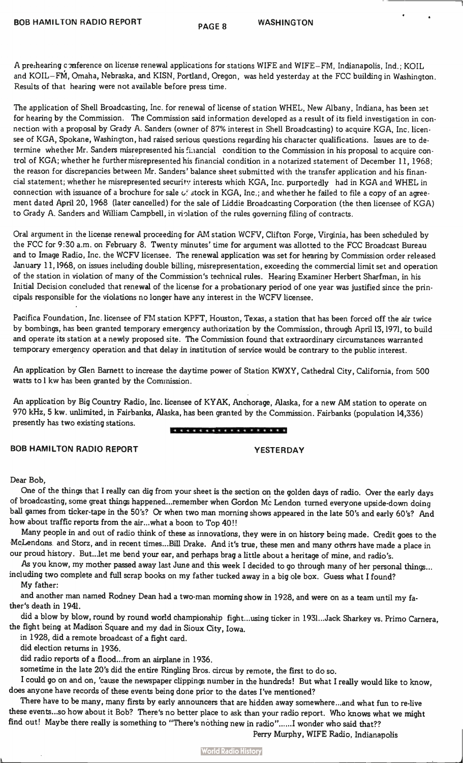$\bullet$ 

A pre:hearing cmference on license renewal applications for stations WIFE and WIFE—FM, Indianapolis, Ind.; KOIL and KOIL—FM, Omaha, Nebraska, and KISN, Portland, Oregon, was held yesterday at the FCC building in Washington. Results of that hearing were not available before press time.

The application of Shell Broadcasting, Inc. for renewal of license of station WHEL, New Albany, Indiana, has been set for hearing by the Commission. The Commission said information developed as a result of its field investigation in connection with a proposal by Grady A. Sanders (owner of 87% interest in Shell Broadcasting) to acquire KGA, Inc. licensee of KGA, Spokane, Washington, had raised serious questions regarding his character qualifications. Issues are to determine whether Mr. Sanders misrepresented his fi.iancial condition to the Commission in his proposal to acquire control of KGA; whether he further misrepresented his financial condition in a notarized statement of December 11, 1968; the reason for discrepancies between Mr. Sanders' balance sheet submitted with the transfer application and his financial statement; whether he misrepresented securitv interests which KGA, Inc. purportedly had in KGA and WHEL in connection with issuance of a brochure for sale  $G$ : stock in KGA, Inc.; and whether he failed to file a copy of an agreement dated April 20, 1968 (later cancelled) for the sale of Liddie Broadcasting Corporation (the then licensee of KGA) to Grady A. Sanders and William Campbell, in violation of the rules governing filing of contracts.

Oral argument in the license renewal proceeding for AM station WCFV, Clifton Forge, Virginia, has been scheduled by the FCC for 9:30 a.m. on February 8. Twenty minutes' time for argument was allotted to the FCC Broadcast Bureau and to Image Radio, Inc. the WCFV licensee. The renewal application was set for hearing by Commission order released January 11,1968, on issues including double billing, misrepresentation, exceeding the commercial limit set and operation of the station in violation of many of the Commission's technical rules. Hearing Examiner Herbert Sharfman, in his Initial Decision concluded that renewal of the license for a probationary period of one year was justified since the principals responsible for the violations no longer have any interest in the WCFV licensee.

Pacifica Foundation, Inc. licensee of FM station KPFT, Houston, Texas, a station that has been forced off the air twice by bombings, has been granted temporary emergency authorization by the Commission, through April 13,1971, to build and operate its station at a newly proposed site. The Commission found that extraordinary circumstances warranted temporary emergency operation and that delay in institution of service would be contrary to the public interest.

An application by Glen Barnett to increase the daytime power of Station KWXY, Cathedral City, California, from 500 watts tol kw has been granted by the Commission.

An application by Big Country Radio, Inc. licensee of KYAK, Anchorage, Alaska, for a new AM station to operate on 970 kHz, 5 kw. unlimited, in Fairbanks, Alaska, has been granted by the Commission. Fairbanks (population 14,336) presently has two existing stations.

## \* \* \* \* \* \* \* \* \* \* \* \* \* \* \* \* \* \*

BOB HAMILTON RADIO REPORT THE STRAND OF PESTERDAY

## Dear Bob,

One of the things that I really can dig from your sheet is the section on the golden days of radio. Over the early days of broadcasting, some great things happened...remember when Gordon Mc Lendon turned everyone upside-down doing ball games from ticker-tape in the 50's? Or when two man morning shows appeared in the late 50's and early 60's? And how about traffic reports from the air...what a boon to Top 40!!

Many people in and out of radio think of these as innovations, they were in on history being made. Credit goes to the McLendons and Storz, and in recent times...Bill Drake. And it's true, these men and many others have made a place in our proud history. But...let me bend your ear, and perhaps brag a little about a heritage of mine, and radio's.

As you know, my mother passed away last June and this week I decided to go through many of her personal things... including two complete and full scrap books on my father tucked away in a big ole box. Guess what I found?

My father:

and another man named Rodney Dean had a two-man morning show in 1928, and were on as a team until my father's death in 1941.

did a blow by blow, round by round world championship fight...using ticker in 1931...Jack Sharkey vs. Primo Camera, the fight being at Madison Square and my dad in Sioux City, Iowa.

in 1928, did a remote broadcast of a fight card.

did election returns in 1936.

did radio reports of a flood...from an airplane in 1936.

sometime in the late 20's did the entire Ringling Bros. circus by remote, the first to do so.

I could go on and on, 'cause the newspaper clippings number in the hundreds! But what I really would like to know, does anyone have records of these events being done prior to the dates I've mentioned?

There have to be many, many firsts by early announcers that are hidden away somewhere...and what fun to re-live these events...so how about it Bob? There's no better place to ask than your radio report. Who knows what we might find out! Maybe there really is something to "There's nothing new in radio"......I wonder who said that??

Perry Murphy, WIFE Radio, Indianapolis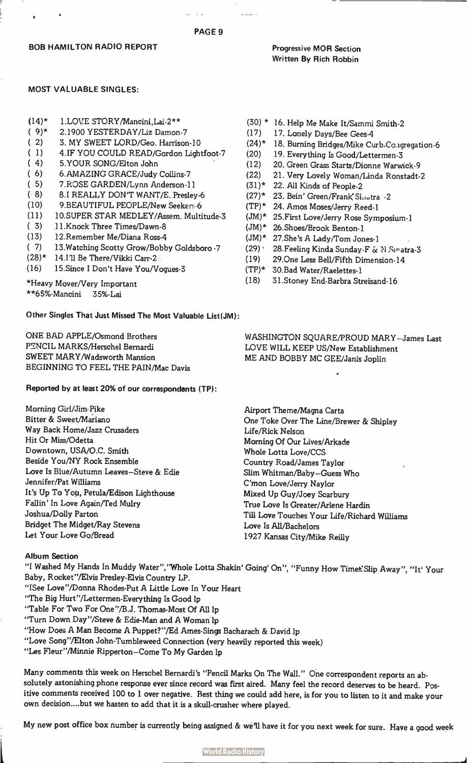## PAGE 9

a sa a

## Progressive MOR Section Written By Rich Robbin

## MOST VALUABLE SINGLES:

- (14)\* 1.LOVE STORY/Mancini,Lai-2\*\*
- ( 9)\* 2.1900 YESTERDAY/Liz Damon-7
- ( 2) 3. MY SWEET LORD/Geo. Harrison-10
- ( 1) 4.IF YOU COULD READ/Gordon Lightfoot-7
- ( 4) 5.YOUR SONG/Elton John
- (6) 6.AMAZING GRACE/Judy Collins-7<br>(5) 7.ROSE GARDEN/Lynn Anderson-1
- ( 5) 7.RDSE GARDEN/Lynn Anderson-11
- ( 8) 8.1 REALLY DON'T WANT/E. Presley-6
- (10) 9.BEAUTIFUL PEOPLE/New Seekers 6
- (11) 10.SUPER STAR MEDLEY/Assem. Multitude-3
- ( 3) 11.Knock Three Times/Dawn-8
- (13) 12.Remember Me/Diana Ross-4
- ( 7) 13.Watching Scotty Grow/Bobby Goldsboro -7
- (28)\* 14.111 Be There/Vikki Carr-2
- (16) 15.Since I Don't Have You/Vogues-3

\*Heavy Mover/Very Important \*\*65%-Mancini 35%-Lai

Other Singles That Just Missed The Most Valuable List(JM):

ONE BAD APPLE/Osmond Brothers PENCIL MARKS/Herschel Bernardi SWEET MARY/Wadsworth Mansion BEGINNING TO FEEL THE PAIN/Mac Davis

## Reported by at least 20% of our correspondents (TP):

Morning Girl/Jim Pike Bitter & Sweet/Mariano Way Back Home/Jazz Crusaders Hit Or Miss/Odetta Downtown, USA/O.C. Smith Beside You/NY Rock Ensemble Love Is Blue/Autumn Leaves—Steve & Edie Jennifer/Pat Williams It's Up To You, Petula/Edison Lighthouse Fallin' In Love Again/Ted Mulry Joshua/Dolly Parton Bridget The Midget/Ray Stevens Let Your Love Go/Bread

## Album Section

"I Washed My Hands In Muddy Water",''Whole Lotta Shakin' Going' On'', "Funny How Times Slip Away", "It' Your Baby, Rocket"/Elvis Presley-Elvis Country LP. "ISee Love"/Donna Rhodes-Put A Little Love In Your Heart

- "The Big Hurt"/Lettermen-Everything Is Good 1p
- "Table For Two For One"/B.J. Thomas-Most Of All 1p
- "Turn Down Day"/Steve & Edie-Man and A Woman 1p
- "How Does A Man Become A Puppet?"/Ed Ames Sings Bacharach & David 1p
- "Love Song"/Elton John-Tumbleweed Connection (very heavily reported this week)
- "Les Fleur"/Minnie Ripperton—Come To My Garden 1p

Many comments this week on Herschel Bernardi's "Pencil Marks On The Wall." One correspondent reports an absolutely astonishing phone response ever since record was first aired. Many feel the record deserves to be heard. Positive comments received 100 to 1 over negative. Best thing we could add here, is for you to listen to it and make your own decision....but we hasten to add that it is a skull-crusher where played.

My new post office box number is currently being assigned & we'll have it for you next week for sure. Have a good week

- (17) 17. Lonely Days/Bee Gees-4
- (24)\* 18. Burning Bridges/Mike Curb.Co.igregation-6
- (20) 19. Everything Is Good/Lettermen-3
- (12) 20. Green Grass Starts/Dionne Warwick-9
- (22) 21. Very Lovely Woman/Linda Ronstadt-2
- $(31)^*$ 22. All Kinds of People-2
- $(27)^*$ 23. Bein' Green/Frank Sinotra -2
- $(TP)^*$ 24. Amos Moses/Jerry Reed-1
- (JM)\* 25.First Love/Jerry Rose Symposium-1
- (JM)\* 26.Shoes/Brook Benton-1
- $(MU)^*$ 27.She's A Lady/Tom Jones-1
- $(29)$ 28.Feeling Kinda Sunday-F & N Sinatra-3
- (19) 29.0ne Less Bell/Fifth Dimension-14
- $(TP)^*$ 30.Bad Water/Raelettes-1
- (18) 31.Stoney End-Barbra Streisand-16

WASHINGTON SQUARE/PROUD MARY—James Last LOVE WILL KEEP US/New Establishment ME AND BOBBY MC GEE/Janis Joplin

Airport Theme/Magna Carta One Toke Over The Line/Brewer & Shipley Life/Rick Nelson Morning Of Our Lives/Arkade Whole Lotta Love/CCS Country Road/James Taylor Slim Whitman/Baby—Guess Who C'mon Love/Jerry Naylor Mixed Up Guy/Joey Scarbury True Love Is Greater/Arlene Hardin Till Love Touches Your Life/Richard Williams Love Is All/Bachelors 1927 Kansas City/Mike Reilly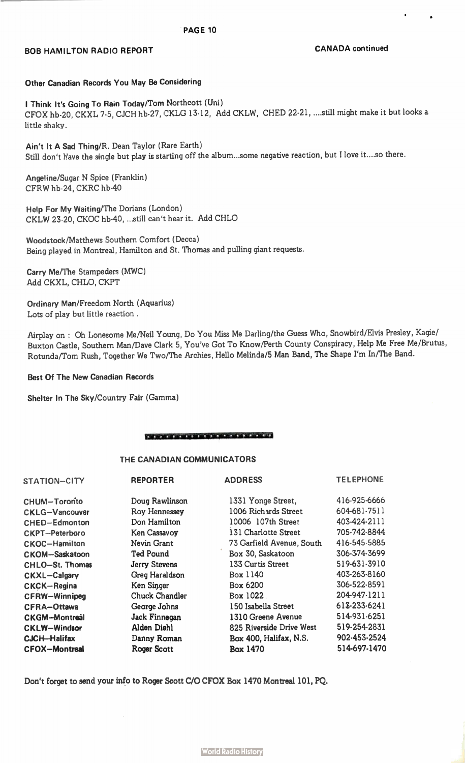## BOB HAMILTON RADIO REPORT **CANADA** continued

 $\bullet$ 

 $\mathbf{r}$ 

## Other Canadian Records You May Be Considering

I Think It's Going To Rain Today/Tom Northcott (Uni) CFOX hb-20, CKXL 7-5, CJCH hb-27, CKLG 13-12, Add CKLW, CHED 22-21,....still might make it but looks a little shaky.

Ain't It A Sad Thing/R. Dean Taylor (Rare Earth) Still don't have the single but play is starting off the album...some negative reaction, but I love it....so there.

Angeline/Sugar N Spice (Franklin) CFRW hb-24, CKRC hb-40

Help For My Waiting/The Dorians (London) CKLW 23-20, CKOC hb-40, ...still can't hear it. Add CHLO

Woodstock/Matthews Southern Comfort (Decca) Being played in Montreal, Hamilton and St. Thomas and pulling giant requests.

Carry Me/The Stampeders (MWC) Add CKXL, CHLO, CKPT

Ordinary Man/Freedom North (Aquarius) Lots of play but little reaction .

Airplay on : Oh Lonesome Me/Neil Young, Do You Miss Me Darling/the Guess Who, Snowbird/Elvis Presley, Kagie/ Buxton Castle, Southern Man/Dave Clark 5, You've Got To Know/Perth County Conspiracy, Help Me Free Me/Brutus, Rotunda/Tom Rush, Together We Two/The Archies, Hello Melinda/5 Man Band, The Shape I'm In/The Band.

## Best Of The New Canadian Records

Shelter In The Sky/Country Fair (Gamma)

## je od 10. stoletje i samo stanje i na stanje i samo stanje i samo stanje i samo stanje i samo stanje i samo st

## THE CANADIAN COMMUNICATORS

| STATION-CITY           | <b>REPORTER</b>      | <b>ADDRESS</b>            | <b>TELEPHONE</b> |
|------------------------|----------------------|---------------------------|------------------|
| <b>CHUM-Toronto</b>    | Doug Rawlinson       | 1331 Yonge Street,        | 416-925-6666     |
| <b>CKLG-Vancouver</b>  | Roy Hennessey        | 1006 Richards Street      | 604-681-7511     |
| <b>CHED-Edmonton</b>   | Don Hamilton         | 10006 107th Street        | 403-424-2111     |
| <b>CKPT-Peterboro</b>  | Ken Cassavoy         | 131 Charlotte Street      | 705-742-8844     |
| <b>CKOC-Hamilton</b>   | Nevin Grant          | 73 Garfield Avenue, South | 416-545-5885     |
| <b>CKOM-Saskatoon</b>  | <b>Ted Pound</b>     | Box 30, Saskatoon         | 306-374-3699     |
| <b>CHLO-St. Thomas</b> | <b>Jerry Stevens</b> | 133 Curtis Street         | 519-631-3910     |
| <b>CKXL-Calgary</b>    | Greg Haraldson       | Box 1140                  | 403-263-8160     |
| <b>CKCK-Regina</b>     | Ken Singer           | Box 6200                  | 306-522-8591     |
| <b>CFRW-Winnipeg</b>   | Chuck Chandler       | Box 1022                  | 204-947-1211     |
| <b>CFRA-Ottawa</b>     | George Johns         | 150 Isabella Street       | 613-233-6241     |
| <b>CKGM-Montreal</b>   | Jack Finnegan        | 1310 Greene Avenue        | 514-931-6251     |
| <b>CKLW-Windsor</b>    | Alden Diehl          | 825 Riverside Drive West  | 519-254-2831     |
| <b>CJCH-Halifax</b>    | Danny Roman          | Box 400, Halifax, N.S.    | 902-453-2524     |
| <b>CFOX-Montreal</b>   | Roger Scott          | Box 1470                  | 514-697-1470     |

Don't forget to send your info to Roger Scott C/O CFOX Box 1470 Montreal 101, PQ.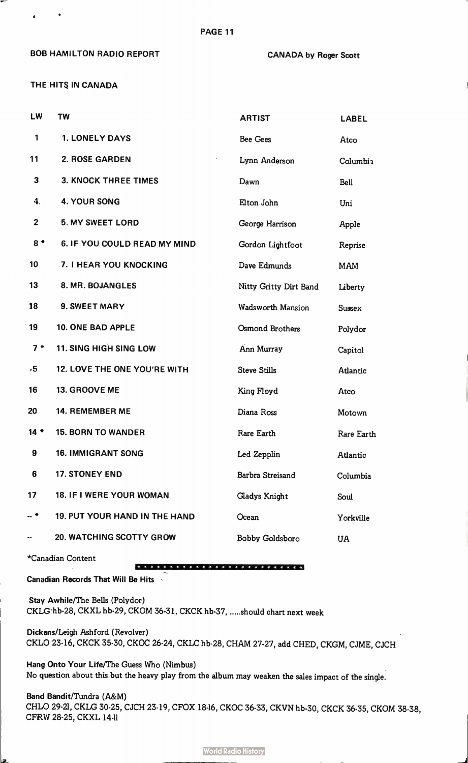## BOB HAMILTON RADIO REPORT CANADA by Roger Scott

THE HITS IN CANADA

| LW           | <b>TW</b>                            | <b>ARTIST</b>            | <b>LABEL</b>  |
|--------------|--------------------------------------|--------------------------|---------------|
| 1            | 1. LONELY DAYS                       | Bee Gees                 | Atco          |
| 11           | 2. ROSE GARDEN                       | Lynn Anderson            | Columbia      |
| 3            | <b>3. KNOCK THREE TIMES</b>          | Dawn                     | <b>Bell</b>   |
| 4.           | <b>4. YOUR SONG</b>                  | Elton John               | Uni           |
| $\mathbf{2}$ | <b>5. MY SWEET LORD</b>              | George Harrison          | Apple         |
| $8*$         | 6. IF YOU COULD READ MY MIND         | Gordon Lightfoot         | Reprise       |
| 10           | 7. I HEAR YOU KNOCKING               | Dave Edmunds             | <b>MAM</b>    |
| 13           | 8. MR. BOJANGLES                     | Nitty Gritty Dirt Band   | Liberty       |
| 18           | 9. SWEET MARY                        | <b>Wadsworth Mansion</b> | <b>Sussex</b> |
| 19           | <b>10. ONE BAD APPLE</b>             | Osmond Brothers          | Polydor       |
| $7*$         | <b>11. SING HIGH SING LOW</b>        | Ann Murray               | Capitol       |
| , 5          | 12. LOVE THE ONE YOU'RE WITH         | <b>Steve Stills</b>      | Atlantic      |
| 16           | 13. GROOVE ME                        | King Floyd               | Atco          |
| 20           | 14. REMEMBER ME                      | Diana Ross               | Motown        |
| $14 *$       | <b>15. BORN TO WANDER</b>            | Rare Earth               | Rare Earth    |
| 9            | 16. IMMIGRANT SONG                   | Led Zepplin              | Atlantic      |
| 6            | 17. STONEY END                       | Barbra Streisand         | Columbia      |
| 17           | 18. IF I WERE YOUR WOMAN             | Gladys Knight            | Soul          |
| -- *         | <b>19. PUT YOUR HAND IN THE HAND</b> | Ocean                    | Yorkville     |
|              | <b>20. WATCHING SCOTTY GROW</b>      | Bobby Goldsboro          | <b>UA</b>     |

PAGE 11

\*Canadian Content

## \*\*\*\*\*\*\*\*\*\*\*\*\*\*\*\*\*\*\*\*\*

Canadian Records That Will Be Hits

Stay Awhile/The Bells (Polydor) CKLG hb-28, CKXL hb-29, CKOM 36-31, CKCK hb-37, .....should chart next week

Dickens/Leigh Ashford (Revolver) CKLO 23-16, CKCK 35-30, CKOC 26-24, CKLC hb-28, CHAM 27-27, add CHED, CKGM, CJME, CJCH

Hang Onto Your Life/The Guess Who (Nimbus) No question about this but the heavy play from the album may weaken the sales impact of the single.

Band Bandit/Tundra (A&M) CHLO 29-21, CKLG 30-25, CJCH 23-19, CFOX 18-16, CKOC 36-33, CKVN hb-30, CKCK 36-35, CKOM 38-38, CFRW 28-25, CKXL 14-11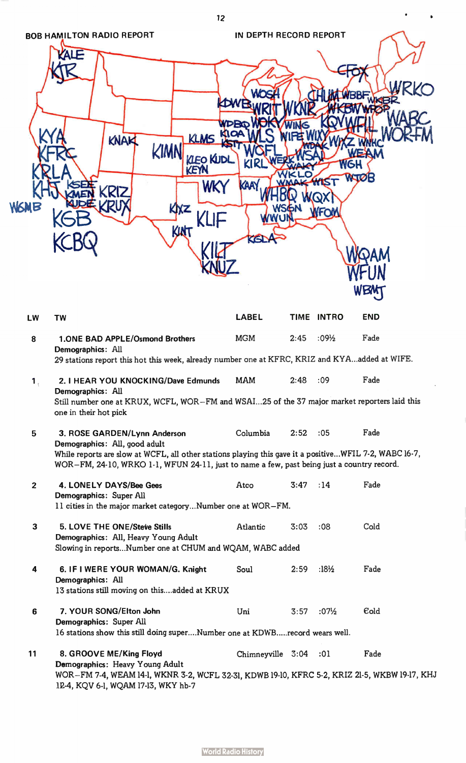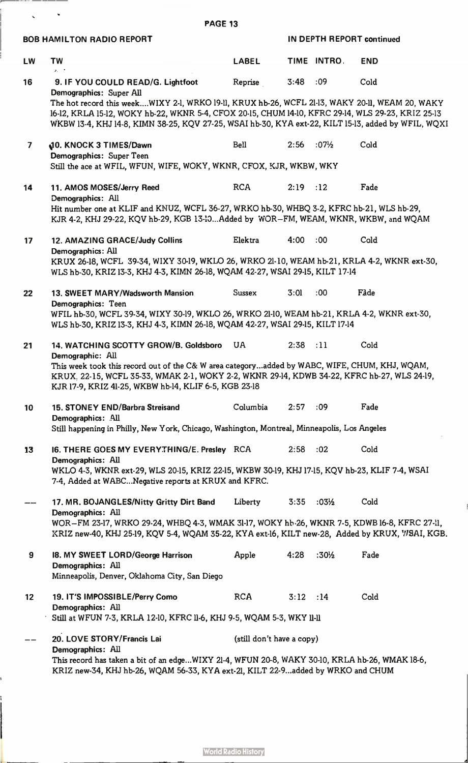BOB HAMILTON RADIO REPORT **IN DEPTH REPORT Continued** LW TVV LABEL TIME INTRO END  $\chi_{\rm{eff}}$  . 16 9. IF YOU COULD READ/G. Lightfoot Reprise 3:48 :09 Cold Demographics: Super All The hot record this week....WIXY 2-1, WRKO 19-11, KRUX hb-26, WCFL 21-13, WAKY 20-11, WEAM 20, WAKY 16-12, KRLA 15-12, WOKY hb-22, WKNR 5-4, CFOX 20-15, CHUM 14-10, KFRC 29-14, WLS 29-23, KRIZ 25-13 WKBW 13-4, KHJ 14-8, KIMN 38-25, KQV 27-25, WSAI hb-30, KYA ext-22, KILT 15-13, added by WFIL, WQXI 7 **10. KNOCK 3 TIMES/Dawn** Bell 2:56 :07<sup>1</sup>/2 Cold Demographics: Super Teen Still the ace at WFIL, WFUN, WIFE, WOKY, WKNR, CFOX, KJR, WKBW, WKY 14 11. AMOS MOSES/Jerry Reed RCA 2:19 :12 Fade Demographics: All Hit number one at KLIF and KNUZ, WCFL 36-27, WRKO hb-30, WHBQ 3-2, KFRC hb-21, WLS hb-29, KJR 4-2, KHJ 29-22, KQV hb-29, KGB 13-13...Added by WOR-FM, WEAM, WKNR, WKBW, and WQAM 17 12. AMAZING GRACE/Judy Collins Elektra 4:00 :00 Cold Demographics: All KRUX 26-18, WCFL 39-34, WIXY 30-19, WKLO 26, WRKO 21-10, WEAM hb-21, KRLA 4-2, WKNR ext-30, WLS hb-30, KRIZ 13-3, KHJ 4-3, KIMN 26-18, WQAM 42-27, WSAI 29-15, KILT 17-14 22 13. SWEET MARY/Wadsworth Mansion Sussex 3:01 :00 Fàde Demographics: Teen WFIL hb-30, WCFL 39-34, WIXY 30-19, WKLO 26, WRKO 21-10, WEAM hb-21, KRLA 4-2, WKNR ext-30, WLS hb-30, KRIZ 13-3, KHJ 4-3, KIMN 26-18, WQAM 42-27, WSAI 29-15, KILT 17-14 21 14. WATCHING SCOTTY GROW/B. Goldsboro UA 2:38 :11 Cold Demographic: All This week took this record out of the C& W area category...added by WABC, WIFE, CHUM, KHJ, WQAM, KRUX. 22-15, WCFL 35-33, WMAK 2-1, WOKY 2-2, WKNR 29-14, KDWB 34-22, KFRC hb-27, WLS 24-19, KJR 17-9, KRIZ 41-25, WKBW hb-14, KLIF 6-5, KGB 23-18 10 15. STONEY END/Barbra Streisand Columbia 2:57 :09 Fade Demographics: All Still happening in PhiIly, New York, Chicago, Washington, Montreal, Minneapolis, Los Angeles 13 16. THERE GOES MY EVERYTHING/E. Presley RCA 2:58 :02 Cold Demographics: All WKLO 4-3, WKNR ext-29, WLS 20-15, KRIZ 22-15, WKBW 30-19, KHJ 17-15, KQV hb-23, KLIF 7-4, WSAI 7-4, Added at WABC...Negative reports at KRUX and KFRC. 17. MR. BOJANGLES/Nitty Gritty Dirt Band Liberty 3:35 :03½ Cold Demographics: All WOR-FM 23-17, WRKO 29-24, WHBQ 4-3, WMAK 31-17, WOKY hb 26, WKNR 7-5, KDWB16-8, KFRC 27-11, XRIZ new-40, KHJ 25-19, KQV 5-4, WQAM 35-22, KYA ext-16, KILT new-28, Added by KRUX, VISAI, KGB. 9 18. MY SWEET LORD/George Harrison Apple 4:28 :30½ Fade Demographics: All Minneapolis, Denver, Oklahoma City, San Diego 12 19. IT'S IMPOSSIBLE/Perry Como RCA 3:12 :14 Cold Demographics: All Still at WFUN 7-3, KRLA 12-10, KFRC 11-6, KHJ 9-5, WQAM 5-3, WKY 11-11 20. LOVE STORY/Francis Lai (still don't have a copy) Demographics: All This record has taken a bit of an edge...WIXY 21-4, WFUN 20-8, WAKY 30-10, KRLA hb-26, WMAK 18-6, KRIZ new-34, KHJ hb-26, WQAM 56-33, KYA ext-21, KILT 22-9...added by WRKO and CHUM

PAGE 13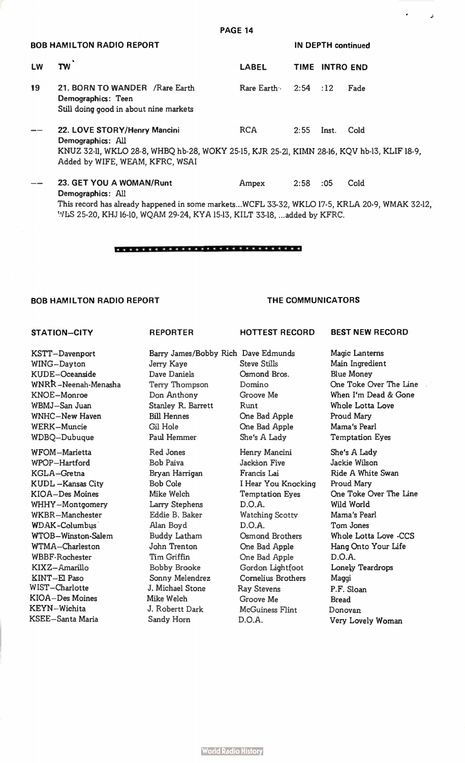| <b>PAGE 14</b>                   |                                                                                                                                                                                     |                        |             |                           |      |
|----------------------------------|-------------------------------------------------------------------------------------------------------------------------------------------------------------------------------------|------------------------|-------------|---------------------------|------|
| <b>BOB HAMILTON RADIO REPORT</b> |                                                                                                                                                                                     |                        |             | <b>IN DEPTH continued</b> |      |
| LW                               | <b>TW</b>                                                                                                                                                                           | <b>LABEL</b>           | <b>TIME</b> | <b>INTRO END</b>          |      |
| 19                               | 21. BORN TO WANDER / Rare Earth<br>Demographics: Teen<br>Still doing good in about nine markets                                                                                     | Rare Earth $2:54$ : 12 |             |                           | Fade |
|                                  | 22. LOVE STORY/Henry Mancini<br>Demographics: All<br>KNUZ 32-11, WKLO 28-8, WHBQ hb-28, WOKY 25-15, KJR 25-21, KIMN 28-16, KQV hb-13, KLIF 18-9,<br>Added by WIFE, WEAM, KFRC, WSAI | <b>RCA</b>             | 2:55        | Inst.                     | Cold |
|                                  | 23. GET YOU A WOMAN/Runt<br>Demographics: All                                                                                                                                       | Ampex                  | 2:58        | :05                       | Cold |
|                                  | This record has already happened in some marketsWCFL 33-32, WKLO 17-5, KRLA 20-9, WMAK 32-12,                                                                                       |                        |             |                           |      |

## \*\*\*\*\*\* « 33 4 4 ie \*\*\*\*\*\*\*\*\* eee

'^/LS 25-20, KHJ 16-10, WQAM 29-24, KYA 15-13, KILT 33-18, ...added by KFRC.

## BOB HAMILTON RADIO REPORT

## THE COMMUNICATORS

## STATION-CITY

KSTT-Davenport WING-Dayton KUDE-Oceanside WNRP. -Neenah-Menasha KNOE-Monroe WBMJ-San Juan WNHC-New Haven WERK-Muncie WDBQ-Dubuque WFOM-Marietta WPOP-Hartford KGLA-Gretna KUDL-Kansas City KIOA-Des Moines WHHY-Montgomery WKBR-Manchester WDAK-Columbus WTOB-Winston-Salem WTMA-Charleston WBBF-Rochester KIXZ-Amarillo KINT-El Paso WIST-Charlotte KIOA-Des Moines KEYN-Wichita

KSEE-Santa Maria

Jerry Kaye Dave Daniels Terry Thompson Don Anthony Stanley R. Barrett Bill Hennes Gil Hole Paul Hemmer Red Jones Bob Paiva Bryan Harrigan Bob Cole Mike Welch Larry Stephens Eddie B. Baker Alan Boyd Buddy Latham John Trenton Tim Griffin Bobby Brooke Sonny Melendrez J. Michael Stone Mike Welch J. Robertt Dark Sandy Horn

REPORTER

Barry James/Bobby Rich Dave Edmunds Steve Stills Osmond Bros. Domino Groove Me Runt One Bad Apple One Bad Apple She's A Lady

HOTTEST RECORD

Henry Mancini Jackson Five Francis Lai I Hear You Knocking Temptation Eyes D.O.A. Watching Scotty D.O.A. Osmond Brothers One Bad Apple One Bad Apple Gordon Lightfoot Cornelius Brothers Ray Stevens Groove Me McGuiness Flint D.O.A.

BEST NEW RECORD

د

Magic Lanterns Main Ingredient Blue Money One Toke Over The Line When I'm Dead & Gone Whole Lotta Love Proud Mary Mama's Pearl Temptation Eyes

She's A Lady Jackie Wilson Ride A White Swan Proud Mary One Toke Over The Line Wild World Mama's Pearl Tom Jones Whole Lotta Love -CCS Hang Onto Your Life D.O.A. Lonely Teardrops Maggi P.F. Sloan Bread Donovan Very Lovely Woman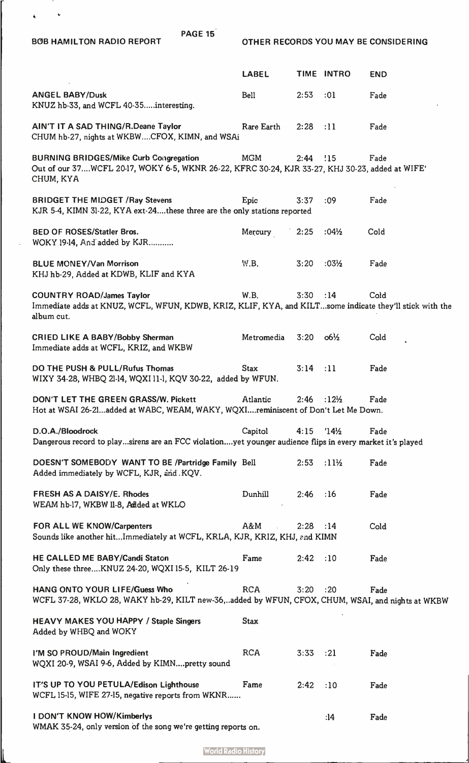$\sim$  $\hat{\mathbf{A}}_{\text{max}} = \hat{\mathbf{A}}_{\text{max}}$ 

L

BOB HAMILTON RADIO REPORT CASE TO OTHER RECORDS YOU MAY BE CONSIDERING

|                                                                                                                                                                                         | <b>LABEL</b> |                        | TIME INTRO       | <b>END</b> |  |
|-----------------------------------------------------------------------------------------------------------------------------------------------------------------------------------------|--------------|------------------------|------------------|------------|--|
| <b>ANGEL BABY/Dusk</b><br>KNUZ hb-33, and WCFL 40-35interesting.                                                                                                                        | Bell         | 2:53                   | :01              | Fade       |  |
| AIN'T IT A SAD THING/R.Deane Taylor<br>CHUM hb-27, nights at WKBWCFOX, KIMN, and WSAi                                                                                                   | Rare Earth   | 2:28                   | :11              | Fade       |  |
| <b>BURNING BRIDGES/Mike Curb Congregation</b><br>Out of our 37WCFL 20-17, WOKY 6-5, WKNR 26-22, KFRC 30-24, KJR 33-27, KHJ 30-23, added at WIFE'<br>CHUM, KYA                           | <b>MGM</b>   | 2:44                   | !15              | Fade       |  |
| <b>BRIDGET THE MIDGET / Ray Stevens</b><br>KJR 5-4, KIMN 31-22, KYA ext-24these three are the only stations reported                                                                    | Epic         | 3:37                   | :09              | Fade       |  |
| <b>BED OF ROSES/Statler Bros.</b><br>WOKY 19-14, And added by KJR                                                                                                                       | Mercury      | 2:25                   | $:04\frac{1}{2}$ | Cold       |  |
| <b>BLUE MONEY/Van Morrison</b><br>KHJ hb-29, Added at KDWB, KLIF and KYA                                                                                                                | W.B.         | 3:20                   | $:03\frac{1}{2}$ | Fade       |  |
| <b>COUNTRY ROAD/James Taylor</b><br>Immediate adds at KNUZ, WCFL, WFUN, KDWB, KRIZ, KLIF, KYA, and KILTsome indicate they'll stick with the<br>album cut.                               | W.B.         | 3:30                   | :14              | Cold       |  |
| <b>CRIED LIKE A BABY/Bobby Sherman</b><br>Immediate adds at WCFL, KRIZ, and WKBW                                                                                                        | Metromedia   | $3:20$ $06\frac{1}{2}$ |                  | Cold       |  |
| DO THE PUSH & PULL/Rufus Thomas<br>WIXY 34-28, WHBQ 21-14, WQXI 11-1, KQV 30-22, added by WFUN.                                                                                         | <b>Stax</b>  | 3:14                   | :11              | Fade       |  |
| DON'T LET THE GREEN GRASS/W. Pickett<br>$2:46$ :12 <sup>1</sup> / <sub>2</sub><br>Atlantic<br>Fade<br>Hot at WSAI 26-21added at WABC, WEAM, WAKY, WQXIreminiscent of Don't Let Me Down. |              |                        |                  |            |  |
|                                                                                                                                                                                         |              |                        |                  |            |  |
| D.O.A./Bloodrock<br>Dangerous record to playsirens are an FCC violationyet younger audience flips in every market it's played                                                           | Capitol      | $4:15$ $14\frac{1}{2}$ |                  | Fade       |  |
| DOESN'T SOMEBODY WANT TO BE /Partridge Family Bell<br>Added immediately by WCFL, KJR, and KQV.                                                                                          |              | 2:53                   | :11½             | Fade       |  |
| <b>FRESH AS A DAISY/E. Rhodes</b><br>WEAM hb-17, WKBW II-8, Addded at WKLO                                                                                                              | Dunhill      | 2:46                   | :16              | Fade       |  |
| FOR ALL WE KNOW/Carpenters<br>Sounds like another hitImmediately at WCFL, KRLA, KJR, KRIZ, KHJ, and KIMN                                                                                | A&M          | 2:28                   | :14              | Cold       |  |
| HE CALLED ME BABY/Candi Staton<br>Only these threeKNUZ 24-20, WQXI 15-5, KILT 26-19                                                                                                     | Fame         | 2:42:10                |                  | Fade       |  |
| HANG ONTO YOUR LIFE/Guess Who<br>WCFL 37-28, WKLO 28, WAKY hb-29, KILT new-36,added by WFUN, CFOX, CHUM, WSAI, and nights at WKBW                                                       | <b>RCA</b>   | 3:20                   | :20              | Fade       |  |
| <b>HEAVY MAKES YOU HAPPY / Staple Singers</b><br>Added by WHBQ and WOKY                                                                                                                 | <b>Stax</b>  |                        |                  |            |  |
| I'M SO PROUD/Main Ingredient<br>WQXI 20-9, WSAI 9-6, Added by KIMNpretty sound                                                                                                          | <b>RCA</b>   | 3:33                   | :21              | Fade       |  |
| IT'S UP TO YOU PETULA/Edison Lighthouse<br>WCFL 15-15, WIFE 27-15, negative reports from WKNR                                                                                           | Fame         | 2:42                   | :10              | Fade       |  |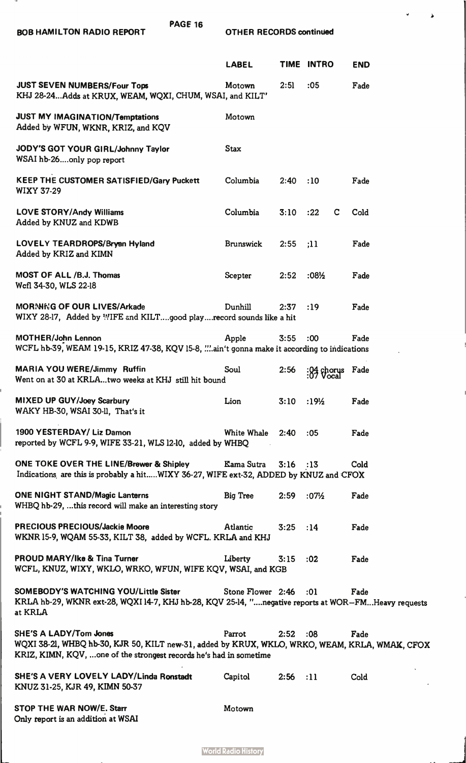| PAGE 16<br><b>BOB HAMILTON RADIO REPORT</b>                                                                                                                                                            | <b>OTHER RECORDS continued</b> |            |                          |            |  |
|--------------------------------------------------------------------------------------------------------------------------------------------------------------------------------------------------------|--------------------------------|------------|--------------------------|------------|--|
|                                                                                                                                                                                                        | <b>LABEL</b>                   |            | TIME INTRO               | <b>END</b> |  |
| <b>JUST SEVEN NUMBERS/Four Tops</b><br>KHJ 28-24Adds at KRUX, WEAM, WQXI, CHUM, WSAI, and KILT'                                                                                                        | Motown                         | 2:51       | :05                      | Fade       |  |
| <b>JUST MY IMAGINATION/Temptations</b><br>Added by WFUN, WKNR, KRIZ, and KQV                                                                                                                           | Motown                         |            |                          |            |  |
| JODY'S GOT YOUR GIRL/Johnny Taylor<br>WSAI hb-26only pop report                                                                                                                                        | <b>Stax</b>                    |            |                          |            |  |
| <b>KEEP THE CUSTOMER SATISFIED/Gary Puckett</b><br><b>WIXY 37-29</b>                                                                                                                                   | Columbia                       | 2:40       | :10                      | Fade       |  |
| <b>LOVE STORY/Andy Williams</b><br>Added by KNUZ and KDWB                                                                                                                                              | Columbia                       | 3:10       | :22<br>C                 | Cold       |  |
| LOVELY TEARDROPS/Bryan Hyland<br>Added by KRIZ and KIMN                                                                                                                                                | <b>Brunswick</b>               | 2:55       | :11                      | Fade       |  |
| MOST OF ALL /B.J. Thomas<br>Wcfl 34-30, WLS 22-18                                                                                                                                                      | Scepter                        | 2:52       | $:08\frac{1}{2}$         | Fade       |  |
| <b>MORNING OF OUR LIVES/Arkade</b><br>WIXY 28-17, Added by WIFE and KILTgood playrecord sounds like a hit                                                                                              | Dunhill                        | 2:37       | :19                      | Fade       |  |
| <b>MOTHER/John Lennon</b><br>WCFL hb-39, WEAM 19-15, KRIZ 47-38, KQV 15-8, ain't gonna make it according to indications                                                                                | Apple                          | 3:55       | :00                      | Fade       |  |
| <b>MARIA YOU WERE/Jimmy Ruffin</b><br>Went on at 30 at KRLAtwo weeks at KHJ still hit bound                                                                                                            | Soul                           | 2:56       | $\frac{104}{107}$ chorus | Fade       |  |
| MIXED UP GUY/Joey Scarbury<br>WAKY HB-30, WSAI 30-ll. That's it                                                                                                                                        | Lion                           | 3:10       | $:19\frac{1}{2}$         | Fade       |  |
| 1900 YESTERDAY/ Liz Damon<br>reported by WCFL 9-9, WIFE 33-21, WLS 12-10, added by WHBQ                                                                                                                | White Whale                    | 2:40       | :05                      | Fade       |  |
| ONE TOKE OVER THE LINE/Brewer & Shipley<br>Indications are this is probably a hitWIXY 36-27, WIFE ext-32, ADDED by KNUZ and CFOX                                                                       | Kama Sutra                     | $3:16$ :13 |                          | Cold       |  |
| <b>ONE NIGHT STAND/Magic Lanterns</b><br>WHBQ hb-29, this record will make an interesting story                                                                                                        | <b>Big Tree</b>                | 2:59       | $:07\frac{1}{2}$         | Fade       |  |
| <b>PRECIOUS PRECIOUS/Jackie Moore</b><br>WKNR 15-9, WQAM 55-33, KILT 38, added by WCFL. KRLA and KHJ                                                                                                   | Atlantic                       | 3:25       | :14                      | Fade       |  |
| <b>PROUD MARY/Ike &amp; Tina Turner</b><br>WCFL, KNUZ, WIXY, WKLO, WRKO, WFUN, WIFE KQV, WSAI, and KGB                                                                                                 | Liberty                        | 3:15       | :02                      | Fade       |  |
| <b>SOMEBODY'S WATCHING YOU/Little Sister</b><br>KRLA hb-29, WKNR ext-28, WQXI 14-7, KHJ hb-28, KQV 25-14, "negative reports at WOR-FMHeavy requests<br>at KRLA                                         | Stone Flower 2:46              |            | :01                      | Fade       |  |
| <b>SHE'S A LADY/Tom Jones</b><br>WQXI 38-21, WHBQ hb-30, KJR 50, KILT new-31, added by KRUX, WKLO, WRKO, WEAM, KRLA, WMAK, CFOX<br>KRIZ, KIMN, KQV,  one of the strongest records he's had in sometime | Parrot                         | 2:52       | :08                      | Fade       |  |
| SHE'S A VERY LOVELY LADY/Linda Ronstadt<br>KNUZ 31-25, KJR 49, KIMN 50-37                                                                                                                              | Capitol                        | 2:56       | :11                      | Cold       |  |
| STOP THE WAR NOW/E. Starr<br>Only report is an addition at WSAI                                                                                                                                        | Motown                         |            |                          |            |  |

لأ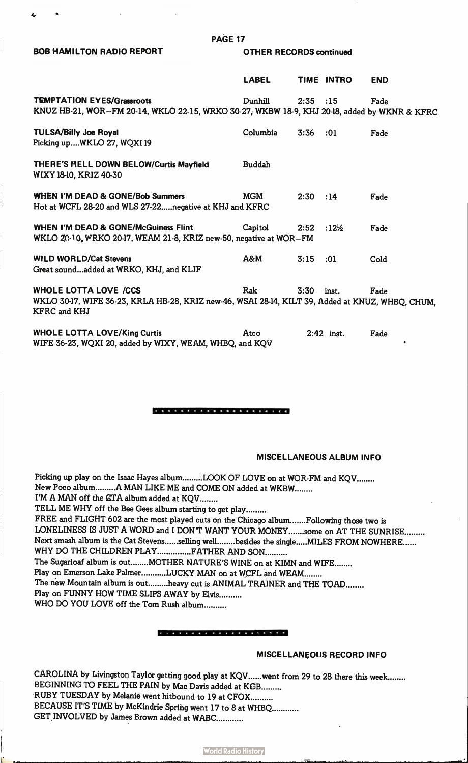## BOB HAMILTON RADIO REPORT **OTHER RECORDS** continued

## PAGE 17

|                                                                                                                                                  | <b>LABEL</b>  |      | TIME INTRO                      | <b>END</b> |
|--------------------------------------------------------------------------------------------------------------------------------------------------|---------------|------|---------------------------------|------------|
| <b>TEMPTATION EYES/Grassroots</b><br>KNUZ HB-21, WOR-FM 20-14, WKLO 22-15, WRKO 30-27, WKBW 18-9, KHJ 20-18, added by WKNR & KFRC                | Dunhill       | 2:35 | :15                             | Fade       |
| <b>TULSA/Billy Joe Royal</b><br>Picking upWKLO 27, WQXI 19                                                                                       | Columbia      | 3:36 | :01                             | Fade       |
| THERE'S HELL DOWN BELOW/Curtis Mayfield<br>WIXY 18-10, KRIZ 40-30                                                                                | <b>Buddah</b> |      |                                 |            |
| <b>WHEN I'M DEAD &amp; GONE/Bob Summers</b><br>Hot at WCFL 28-20 and WLS 27-22 negative at KHJ and KFRC                                          | MGM           | 2:30 | :14                             | Fade       |
| <b>WHEN I'M DEAD &amp; GONE/McGuiness Flint</b><br>WKLO 20-10, WRKO 20-17, WEAM 21-8, KRIZ new-50, negative at WOR-FM                            | Capitol       | 2:52 | :12 <sup>1</sup> / <sub>2</sub> | Fade       |
| <b>WILD WORLD/Cat Stevens</b><br>Great soundadded at WRKO, KHJ, and KLIF                                                                         | A&M           | 3:15 | :01                             | Cold       |
| <b>WHOLE LOTTA LOVE /CCS</b><br>WKLO 30-17, WIFE 36-23, KRLA HB-28, KRIZ new-46, WSAI 28-14, KILT 39, Added at KNUZ, WHBO, CHUM,<br>KFRC and KHJ | Rak           | 3:30 | inst.                           | Fade       |
| <b>WHOLE LOTTA LOVE/King Curtis</b><br>WIFE 36-23, WQXI 20, added by WIXY, WEAM, WHBQ, and KQV                                                   | Atco          |      | $2:42$ inst.                    | Fade       |

### 

## MISCELLANEOUS ALBUM INFO

Picking up play on the Isaac Hayes album........LOOK OF LOVE on at WOR-FM and KQV........ New Poco album.........A MAN LIKE ME and COME ON added at WKBW........ I'M A MAN off the CTA album added at KQV........ TELL ME WHY off the Bee Gees album starting to get play......... FREE and FLIGHT 602 are the most played cuts on the Chicago album.......Following those two is LONELINESS IS JUST A WORD and I DON'T WANT YOUR MONEY.......some on AT THE SUNRISE......... Next smash album is the Cat Stevens ......selling well ........ besides the single ..... MILES FROM NOWHERE ...... WHY DO THE CHILDREN PLAY ................FATHER AND SON.......... The Sugarloaf album is out........MOTHER NATURE'S WINE on at KIMN and WIFE........ Play on Emerson Lake Palmer..........LUCKY MAN on at WCFL and WEAM........ The new Mountain album is out.........heavy cut is ANIMAL TRAINER and THE TOAD........ Play on FUNNY HOW TIME SLIPS AWAY by Elvis.......... WHO DO YOU LOVE off the Tom Rush album..........

## 

## MISCELLANEOUS RECORD INFO

CAROLINA by Livingston Taylor getting good play at KQV ......went from 29 to 28 there this week ........ BEGINNING TO FEEL THE PAIN by Mac Davis added at KGB......... RUBY TUESDAY by Melanie went hitbound to 19 at CFOX BECAUSE IT'S TIME by McKindrie Spring went 17 to 8 at WHBQ GET INVOLVED by James Brown added at WABC............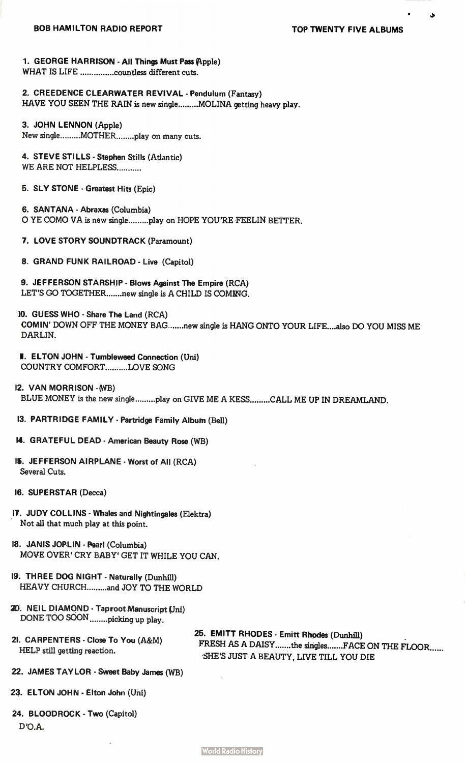د.

## 1. GEORGE HARRISON - All Things Must Pass (Apple)

WHAT IS LIFE ...............countless different cuts.

# 2. CREEDENCE CLEARWATER REVIVAL - Pendulum (Fantasy)

HAVE YOU SEEN THE RAIN is new single ........ MOLINA getting heavy play.

3. JOHN LENNON (Apple) New single ......... MOTHER ......... play on many cuts.

## 4. STEVE STILLS - Stephen Stills (Atlantic) WE ARE NOT HELPLESS...........

5. SLY STONE - Greatest Hits (Epic)

6. SANTANA - Abraxas (Columbia) O YE COMO VA is new single .........play on HOPE YOU'RE FEELIN BETTER.

7. LOVE STORY SOUNDTRACK (Paramount)

8. GRAND FUNK RAILROAD - Live (Capitol)

9. JEFFERSON STARSHIP - Blows Against The Empire (RCA) LET'S GO TOGETHER.......new single is A CHILD IS COMING.

- 10. GUESS WHO Share The Land (RCA) COMIN' DOWN OFF THE MONEY BAG .......new single is HANG ONTO YOUR LIFE....also DO YOU MISS ME DARLIN.
- I. ELTON JOHN Tumbleweed Connection (Uni) COUNTRY COMFORT.........LOVE SONG

12. VAN MORRISON -(WB) BLUE MONEY is the new single .........play on GIVE ME A KESS .........CALL ME UP IN DREAMLAND.

13. PARTRIDGE FAMILY - Partridge Family Album (Bell)

## 14. GRATEFUL DEAD - American Beauty Rose (WB)

- 1%. JEFFERSON AIRPLANE Worst of All (RCA) Several Cuts.
- 16. SUPERSTAR (Decca)
- IF. JUDY COLLINS Whales and Nightingales (Elektra) Not all that much play at this point.
- 18. JANIS JOPLIN Pearl (Columbia) MOVE OVER' CRY BABY' GET IT WHILE YOU CAN.
- 19. THREE DOG NIGHT Naturally (Dunhill) HEAVY CHURCH.........and JOY TO THE WORLD
- 20. NEIL DIAMOND Taproot Manuscript (Uni) DONE TOO SOON ........picking up play.
- 21. CARPENTERS Close To You (A&M) HELP still getting reaction.

25. EMITT RHODES - Emitt Rhodes (Dunhill) FRESH AS A DAISY .......the singles ....... FACE ON THE FLOOR ...... SHE'S JUST A BEAUTY, LIVE TILL YOU DIE

- 22. JAMES TAYLOR Sweet Baby James (WB)
- 23. ELTON JOHN Elton John (Uni)
- 24. BLOODROCK Two (Capitol) D'O.A.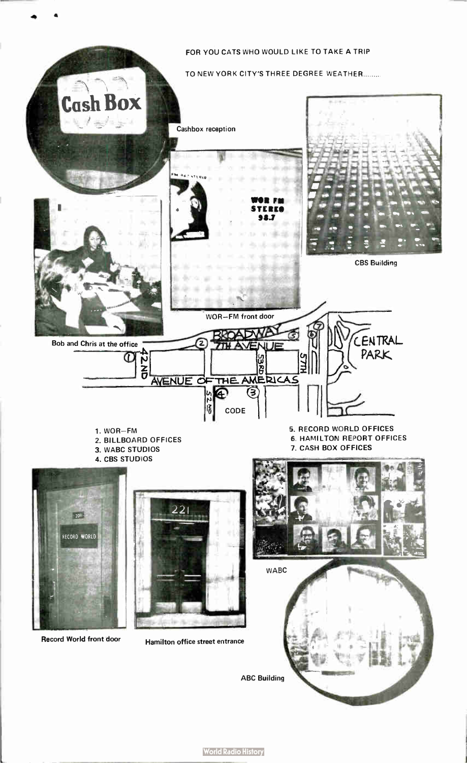